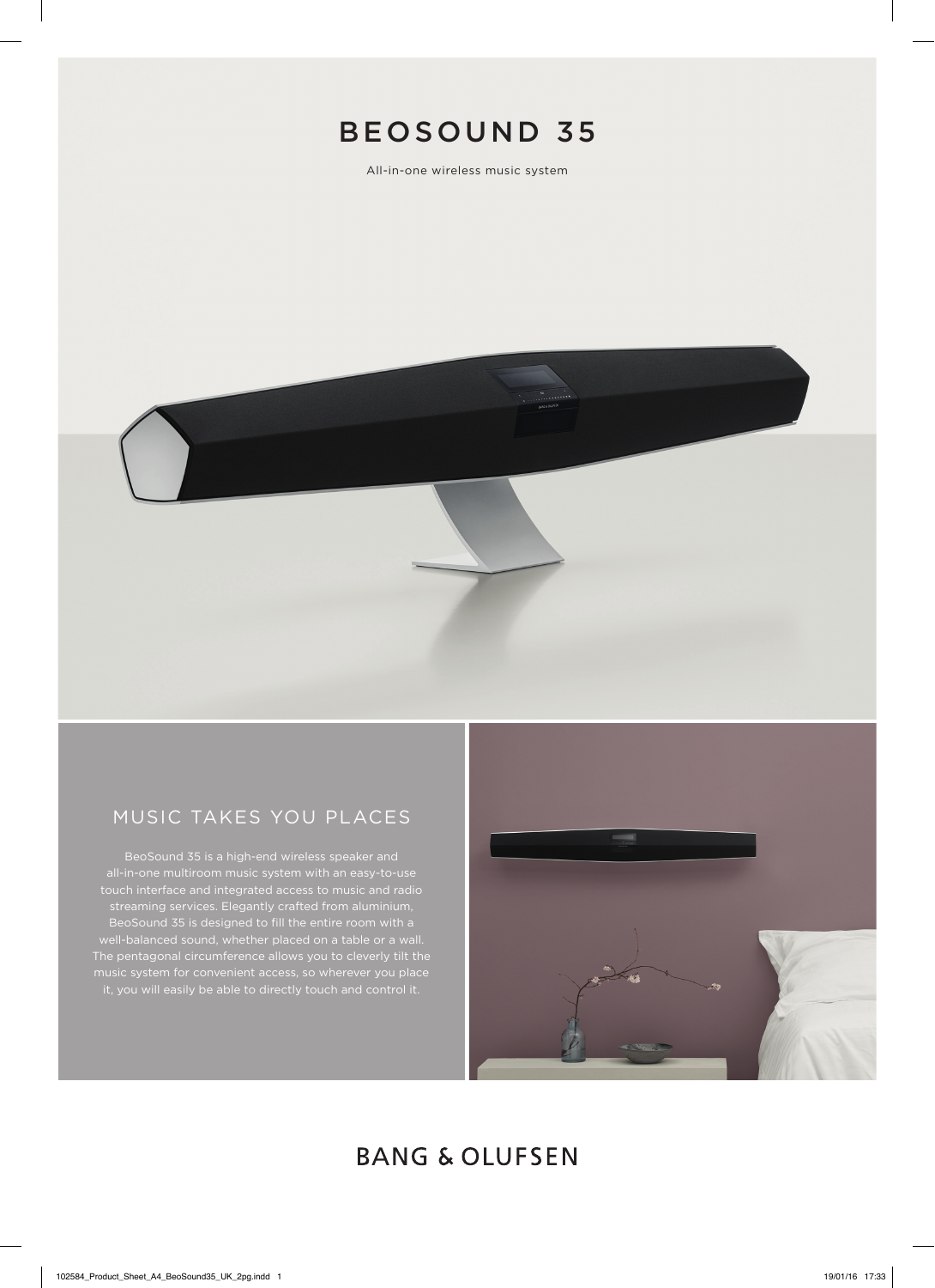

All-in-one wireless music system



## MUSIC TAKES YOU PLACES

BeoSound 35 is a high-end wireless speaker and touch interface and integrated access to music and radio streaming services. Elegantly crafted from aluminium, BeoSound 35 is designed to fill the entire room with a



# **BANG & OLUFSEN**